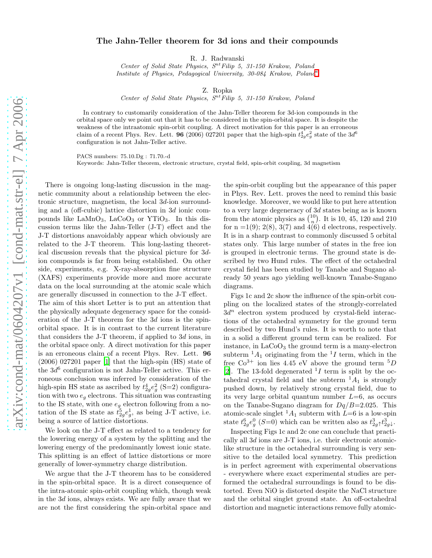## The Jahn-Teller theorem for 3d ions and their compounds

R. J. Radwanski

Center of Solid State Physics,  $S^{nt}$  Filip 5, 31-150 Krakow, Poland Institute of Physics, Pedagogical University, 30-084 Krakow, Poland[∗](#page-1-0)

Z. Ropka

Center of Solid State Physics,  $S<sup>nt</sup>Filip 5$ , 31-150 Krakow, Poland

In contrary to customarily consideration of the Jahn-Teller theorem for 3d-ion compounds in the orbital space only we point out that it has to be considered in the spin-orbital space. It is despite the weakness of the intraatomic spin-orbit coupling. A direct motivation for this paper is an erroneous claim of a recent Phys. Rev. Lett. **96** (2006) 027201 paper that the high-spin  $t_{2g}^4 e_g^2$  state of the  $3d^6$ configuration is not Jahn-Teller active.

PACS numbers: 75.10.Dg : 71.70.-d

Keywords: Jahn-Teller theorem, electronic structure, crystal field, spin-orbit coupling, 3d magnetism

There is ongoing long-lasting discussion in the magnetic community about a relationship between the electronic structure, magnetism, the local 3d-ion surrounding and a (off-cubic) lattice distortion in 3d ionic compounds like  $\text{LaMnO}_3$ ,  $\text{LaCoO}_3$  or YTiO<sub>3</sub>. In this discussion terms like the Jahn-Teller (J-T) effect and the J-T distortions anavoidably appear which obviously are related to the J-T theorem. This long-lasting theoretical discussion reveals that the physical picture for 3dion compounds is far from being established. On other side, experiments, e.g. X-ray-absorption fine structure (XAFS) experiments provide more and more accurate data on the local surrounding at the atomic scale which are generally discussed in connection to the J-T effect. The aim of this short Letter is to put an attention that the physically adequate degeneracy space for the consideration of the J-T theorem for the 3d ions is the spinorbital space. It is in contrast to the current literature that considers the J-T theorem, if applied to 3d ions, in the orbital space only. A direct motivation for this paper is an erroneous claim of a recent Phys. Rev. Lett. 96 (2006) 027201 paper [\[1](#page-1-1)] that the high-spin (HS) state of the  $3d^6$  configuration is not Jahn-Teller active. This erroneous conclusion was inferred by consideration of the high-spin HS state as ascribed by  $t_{2g}^4 e_g^2$  (S=2) configuration with two  $e_g$  electrons. This situation was contrasting to the IS state, with one  $e_g$  electron following from a notation of the IS state as  $\tilde{t}_{2g}^5 e_g^1$ , as being J-T active, i.e. being a source of lattice distortions.

We look on the J-T effect as related to a tendency for the lowering energy of a system by the splitting and the lowering energy of the predominantly lowest ionic state. This splitting is an effect of lattice distortions or more generally of lower-symmetry charge distribution.

We argue that the J-T theorem has to be considered in the spin-orbital space. It is a direct consequence of the intra-atomic spin-orbit coupling which, though weak in the 3d ions, always exists. We are fully aware that we are not the first considering the spin-orbital space and

the spin-orbit coupling but the appearance of this paper in Phys. Rev. Lett. proves the need to remind this basic knowledge. Moreover, we would like to put here attention to a very large degeneracy of 3d states being as is known from the atomic physics as  $\binom{10}{n}$  $\binom{10}{n}$ . It is 10, 45, 120 and 210 for  $n = 1(9)$ ;  $2(8)$ ,  $3(7)$  and  $4(6)$  d electrons, respectively. It is in a sharp contrast to commonly discussed 5 orbital states only. This large number of states in the free ion is grouped in electronic terms. The ground state is described by two Hund rules. The effect of the octahedral crystal field has been studied by Tanabe and Sugano already 50 years ago yielding well-known Tanabe-Sugano diagrams.

Figs 1c and 2c show the influence of the spin-orbit coupling on the localized states of the strongly-correlated  $3d^n$  electron system produced by crystal-field interactions of the octahedral symmetry for the ground term described by two Hund's rules. It is worth to note that in a solid a different ground term can be realized. For instance, in  $LaCoO<sub>3</sub>$  the ground term is a many-electron subterm  ${}^{1}A_{1}$  originating from the  ${}^{1}I$  term, which in the free  $Co^{3+}$  ion lies 4.45 eV above the ground term  ${}^{5}D$ [\[2\]](#page-1-2). The 13-fold degenerated  ${}^{1}I$  term is split by the octahedral crystal field and the subterm  $^1A_1$  is strongly pushed down, by relatively strong crystal field, due to its very large orbital quantum number  $L=6$ , as occurs on the Tanabe-Sugano diagram for  $Dq/B=2.025$ . This atomic-scale singlet  ${}^{1}A_1$  subterm with  $L=6$  is a low-spin state  $t_{2g}^6 e_g^0$  (S=0) which can be written also as  $t_{2g}^3 + t_{2g}^3$ .

Inspecting Figs 1c and 2c one can conclude that practically all 3d ions are J-T ions, i.e. their electronic atomiclike structure in the octahedral surrounding is very sensitive to the detailed local symmetry. This prediction is in perfect agreement with experimental observations - everywhere where exact experimental studies are performed the octahedral surroundings is found to be distorted. Even NiO is distorted despite the NaCl structure and the orbital singlet ground state. An off-octahedral distortion and magnetic interactions remove fully atomic-